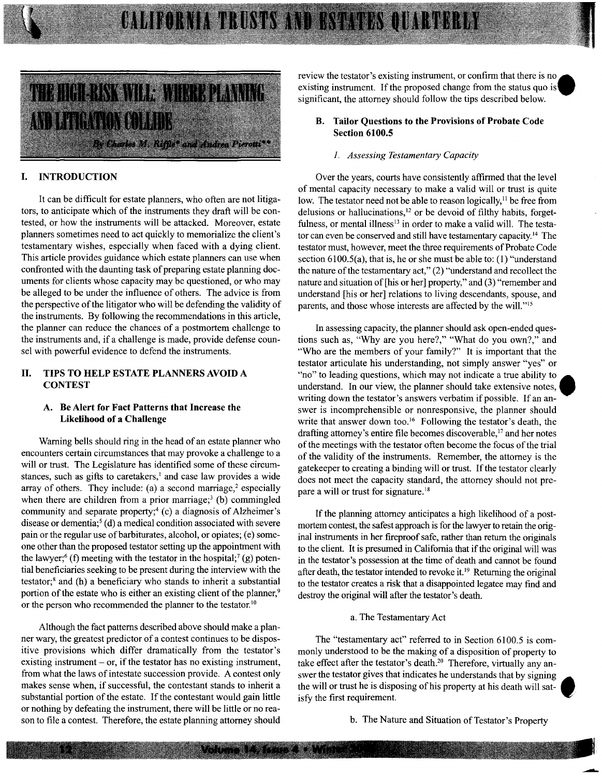## CALIFORNIA TRUSTS AND BSTATES QUARTERLY



#### I. INTRODUCTION

It can be difficult for estate planners, who often are not litigators, to anticipate which of the instruments they draft will be contested, or how the instruments will be attacked. Moreover, estate planners sometimes need to act quickly to memorialize the client's testamentary wishes, especially when faced with a dying client. This article provides guidance which estate planners can use when confronted with the daunting task of preparing estate planning documents for clients whose capacity may be questioned, or who may be alleged to be under the influence of others. The advice is from the perspective of the litigator who will be defending the validity of the instruments. By following the recommendations in this article, the planner can reduce the chances of a postmortem challenge to the instruments and, if a challenge is made, provide defense counsel with powerful evidence to defend the instruments.

#### II. TIPS TO HELP ESTATE PLANNERS AVOID A **CONTEST**

#### A. Be Alert for Fact Patterns that Increase the Likelihood of a Challenge

Warning bells should ring in the head of an estate planner who encounters certain circumstances that may provoke a challenge to a will or trust. The Legislature has identified some of these circumstances, such as gifts to caretakers,<sup>1</sup> and case law provides a wide array of others. They include: (a) a second marriage, $2$  especially when there are children from a prior marriage;<sup>3</sup> (b) commingled community and separate property;<sup>4</sup> (c) a diagnosis of Alzheimer's disease or dementia;<sup>5</sup> (d) a medical condition associated with severe pain or the regular use of barbiturates, alcohol, or opiates; (e) someone other than the proposed testator setting up the appointment with the lawyer;<sup>6</sup> (f) meeting with the testator in the hospital;<sup>7</sup> (g) potential beneficiaries seeking to be present during the interview with the testator;8 and (h) a beneficiary who stands to inherit a substantial portion of the estate who is either an existing client of the planner,<sup>9</sup> or the person who recommended the planner to the testator.<sup>10</sup>

Although the fact patterns described above should make a planner wary, the greatest predictor of a contest continues to be dispositive provisions which differ dramatically from the testator's existing instrument  $-$  or, if the testator has no existing instrument, from what the laws of intestate succession provide. A contest only makes sense when, if successful, the contestant stands to inherit a substantial portion of the estate. If the contestant would gain little or nothing by defeating the instrument, there will be little or no reason to file a contest. Therefore, the estate planning attorney should

review the testator's existing instrument, or confirm that there is no. existing instrument. If the proposed change from the status quo is significant, the attorney should follow the tips described below.

#### B. Tailor Questions to the Provisions of Probate Code Section 6100.5

#### *1. Assessing Testamentary Capacity*

Over the years, courts have consistently affirmed that the level of mental capacity necessary to make a valid will or trust is quite low. The testator need not be able to reason logically, $<sup>11</sup>$  be free from</sup> delusions or hallucinations, $12$  or be devoid of filthy habits, forgetfulness, or mental illness<sup>13</sup> in order to make a valid will. The testator can even be conserved and still have testamentary capacity. 14 The testator must, however, meet the three requirements of Probate Code section 6100.5(a), that is, he or she must be able to: (1) "understand the nature of the testamentary act," (2) "understand and recollect the nature and situation of [his or her] property," and (3) "remember and understand [his or her] relations to living descendants, spouse, and parents, and those whose interests are affected by the will."<sup>15</sup>

In assessing capacity, the planner should ask open-ended questions such as, "Why are you here?," "What do you own?," and "Who are the members of your family?" It is important that the testator articulate his understanding, not simply answer "yes" or "no" to leading questions, which may not indicate a true ability to understand. In our view, the planner should take extensive notes, writing down the testator's answers verbatim if possible. If an answer is incomprehensible or nonresponsive, the planner should write that answer down too.<sup>16</sup> Following the testator's death, the drafting attorney's entire file becomes discoverable,<sup>17</sup> and her notes of the meetings with the testator often become the focus of the trial of the validity of the instruments. Remember, the attorney is the gatekeeper to creating a binding will or trust. If the testator clearly does not meet the capacity standard, the attorney should not prepare a will or trust for signature. 18

If the planning attorney anticipates a high likelihood of a postmortem contest, the safest approach is for the lawyer to retain the original instruments in her fireproof safe, rather than return the originals to the client. It is presumed in California that if the original will was in the testator's possession at the time of death and cannot be found after death, the testator intended to revoke it. 19 Returning the original to the testator creates a risk that a disappointed legatee may find and destroy the original will after the testator's death.

#### a. The Testamentary Act

The "testamentary act" referred to in Section 6100.5 is commonly understood to be the making of a disposition of property to take effect after the testator's death.<sup>20</sup> Therefore, virtually any answer the testator gives that indicates he understands that by signing the will or trust he is disposing of his property at his death will sat- • isfy the first requirement.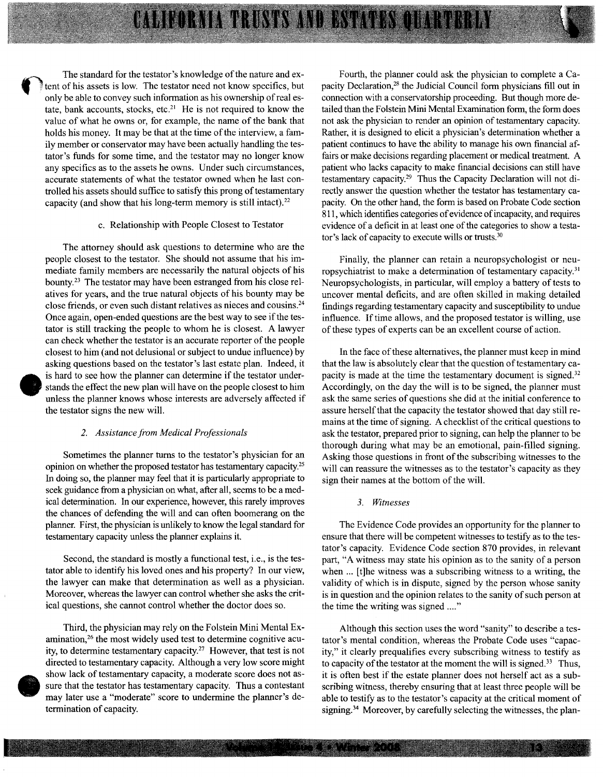The standard for the testator's knowledge of the nature and extent of his assets is low. The testator need not know specifics, but only be able to convey such information as his ownership of real estate, bank accounts, stocks, etc.<sup>21</sup> He is not required to know the value of what he owns or, for example, the name of the bank that holds his money. It may be that at the time of the interview, a family member or conservator may have been actually handling the testator's funds for some time, and the testator may no longer know any specifics as to the assets he owns. Under such circumstances, accurate statements of what the testator owned when he last controlled his assets should suffice to satisfy this prong of testamentary capacity (and show that his long-term memory is still intact).<sup>22</sup>

**CALIBORATA TRUSTS AND ESTATISMO** 

#### c. Relationship with People Closest to Testator

The attorney should ask questions to determine who are the people closest to the testator. She should not assume that his immediate family members are necessarily the natural objects of his bounty.23 The testator may have been estranged from his close relatives for years, and the true natural objects of his bounty may be close friends, or even such distant relatives as nieces and cousins.<sup>24</sup> Once again, open-ended questions are the best way to see if the testator is still tracking the people to whom he is closest. A lawyer can check whether the testator is an accurate reporter of the people closest to him (and not delusional or subject to undue influence) by asking questions based on the testator's last estate plan. Indeed, it is hard to see how the planner can determine if the testator understands the effect the new plan will have on the people closest to him unless the planner knows whose interests are adversely affected if the testator signs the new will.

#### *2. Assistance from Medical Professionals*

•

Sometimes the planner turns to the testator's physician for an opinion on whether the proposed testator has testamentary capacity.25 In doing so, the planner may feel that it is particularly appropriate to seek guidance from a physician on what, after all, seems to be a medical determination. In our experience, however, this rarely improves the chances of defending the will and can often boomerang on the planner. First, the physician is unlikely to know the legal standard for testamentary capacity unless the planner explains it.

Second, the standard is mostly a functional test, i.e., is the testator able to identify his loved ones and his property? In our view, the lawyer can make that determination as well as a physician. Moreover, whereas the lawyer can control whether she asks the critical questions, she cannot control whether the doctor does so.

dire<br>show<br>sure<br>may<br>term Third, the physician may rely on the Folstein Mini Mental Examination,<sup>26</sup> the most widely used test to determine cognitive acuity, to determine testamentary capacity.27 However, that test is not directed to testamentary capacity. Although a very low score might show lack of testamentary capacity, a moderate score does not assure that the testator has testamentary capacity. Thus a contestant may later use a "moderate" score to undermine the planner's determination of capacity.

Fourth, the planner could ask the physician to complete a Capacity Declaration,<sup>28</sup> the Judicial Council form physicians fill out in connection with a conservatorship proceeding. But though more detailed than the Folstein Mini Mental Examination form, the form does not ask the physician to render an opinion of testamentary capacity. Rather, it is designed to elicit a physician's determination whether a patient continues to have the ability to manage his own financial affairs or make decisions regarding placement or medical treatment. A patient who lacks capacity to make financial decisions can still have testamentary capacity.29 Thus the Capacity Declaration will not directly answer the question whether the testator has testamentary capacity. On the other hand, the form is based on Probate Code section 811, which identifies categories of evidence of incapacity, and requires evidence of a deficit in at least one of the categories to show a testator's lack of capacity to execute wills or trusts.<sup>30</sup>

Finally, the planner can retain a neuropsychologist or neuropsychiatrist to make a determination of testamentary capacity.<sup>31</sup> Neuropsychologists, in particular, will employ a battery of tests to uncover mental deficits, and are often skilled in making detailed findings regarding testamentary capacity and susceptibility to undue influence. If time allows, and the proposed testator is willing, use of these types of experts can be an excellent course of action.

In the face of these alternatives, the planner must keep in mind that the law is absolutely clear that the question of testamentary capacity is made at the time the testamentary document is signed.<sup>32</sup> Accordingly, on the day the will is to be signed, the planner must ask the same series of questions she did at the initial conference to assure herself that the capacity the testator showed that day still remains at the time of signing. A checklist of the critical questions to ask the testator, prepared prior to signing, can help the planner to be thorough during what may be an emotional, pain-filled signing. Asking those questions in front of the subscribing witnesses to the will can reassure the witnesses as to the testator's capacity as they sign their names at the bottom of the will.

#### *3. Witnesses*

The Evidence Code provides an opportunity for the planner to ensure that there will be competent witnesses to testify as to the testator's capacity. Evidence Code section 870 provides, in relevant part, "A witness may state his opinion as to the sanity of a person when ... [t]he witness was a subscribing witness to a writing, the validity of which is in dispute, signed by the person whose sanity is in question and the opinion relates to the sanity of such person at the time the writing was signed ...."

Although this section uses the word "sanity" to describe a testator's mental condition, whereas the Probate Code uses "capacity," it clearly prequalifies every subscribing witness to testify as to capacity of the testator at the moment the will is signed.<sup>33</sup> Thus, it is often best if the estate planner does not herself act as a subscribing witness, thereby ensuring that at least three people will be able to testify as to the testator's capacity at the critical moment of signing.<sup>34</sup> Moreover, by carefully selecting the witnesses, the plan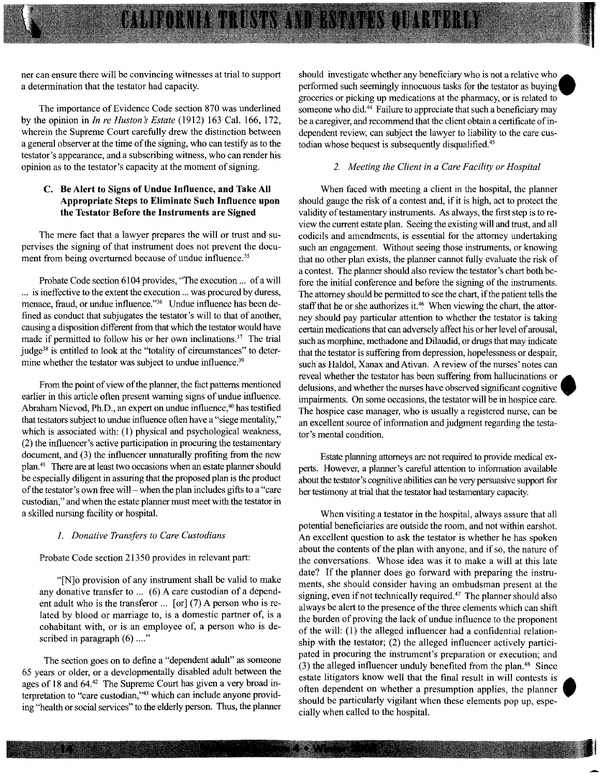ner can ensure there will be convincing witnesses at trial to support a determination that the testator had capacity.

The importance of Evidence Code section 870 was underlined by the opinion in *In re Huston* s *Estate* (1912) 163 Cal. 166, 172, wherein the Supreme Court carefully drew the distinction between a general observer at the time of the signing, who can testify as to the testator's appearance, and a subscribing witness, who can render his opinion as to the testator's capacity at the moment of signing.

#### C. Be Alert to Signs of Undue Influence, and Take AU Appropriate Steps to Eliminate Such Influence upon the Testator Before the Instruments are Signed

The mere fact that a lawyer prepares the will or trust and supervises the signing of that instrument does not prevent the document from being overturned because of undue influence.<sup>35</sup>

Probate Code section 6104 provides, "The execution ... of a will ... is ineffective to the extent the execution ... was procured by duress, menace, fraud, or undue influence."<sup>36</sup> Undue influence has been defined as conduct that subjugates the testator's will to that of another, causing a disposition different from that which the testator would have made if permitted to follow his or her own inclinations.<sup>37</sup> The trial judge<sup>38</sup> is entitled to look at the "totality of circumstances" to determine whether the testator was subject to undue influence.<sup>39</sup>

From the point of view of the planner, the fact patterns mentioned earlier in this article often present warning signs of undue influence. Abraham Nievod, Ph.D., an expert on undue influence,<sup>40</sup> has testified that testators subject to undue influence often have a "siege mentality," which is associated with: (1) physical and psychological weakness, (2) the influencer's active participation in procuring the testamentary document, and (3) the influencer unnaturally profiting from the new plan.41 There are at least two occasions when an estate planner should be especially diligent in assuring that the proposed plan is the product of the testator's own free will- when the plan includes gifts to a "care custodian," and when the estate planner must meet with the testator in a skilled nursing facility or hospital.

#### *1. Donative Transfers to Care Custodians*

Probate Code section 21350 provides in relevant part:

"[N]o provision of any instrument shall be valid to make any donative transfer to ... (6) A care custodian of a dependent adult who is the transferor  $\ldots$  [or] (7) A person who is related by blood or marriage to, is a domestic partner of, is a cohabitant with, or is an employee of, a person who is described in paragraph  $(6)$  ...."

The section goes on to defme a "dependent adult" as someone 65 years or older, or a developmentally disabled adult between the ages of 18 and 64.42 The Supreme Court has given a very broad interpretation to "care custodian,"43 which can include anyone providing "health or social services" to the elderly person. Thus, the planner should investigate whether any beneficiary who is not a relative who performed such seemingly innocuous tasks for the testator as buymg groceries or picking up medications at the pharmacy, or is related to someone who did.<sup>44</sup> Failure to appreciate that such a beneficiary may be a caregiver, and recommend that the client obtain a certificate of independent review, can subject the lawyer to liability to the care custodian whose bequest is subsequently disqualified.<sup>45</sup>

#### *2. Meeting the Client in a Care Facility or Hospital*

When faced with meeting a client in the hospital, the planner should gauge the risk of a contest and, if it is high, act to protect the validity of testamentary instruments. As always, the first step is to review the current estate plan. Seeing the existing will and trust, and all codicils and amendments, is essential for the attorney undertaking such an engagement. Without seeing those instruments, or knowing that no other plan exists, the planner cannot fully evaluate the risk of a contest. The planner should also review the testator's chart both before the initial conference and before the signing of the instruments. The attorney should be permitted to see the chart, if the patient tells the staff that he or she authorizes it.<sup>46</sup> When viewing the chart, the attorney should pay particular attention to whether the testator is taking certain medications that can adversely affect his or her level of arousal, such as morphine, methadone and Dilaudid, or drugs that may indicate that the testator is suffering from depression, hopelessness or despair, such as Haldol, Xanax and Ativan. A review of the nurses' notes can reveal whether the testator has been suffering from hallucinations or delusions, and whether the nurses have observed significant cognitive impairments. On some occasions, the testator will be in hospice care. The hospice case manager, who is usually a registered nurse, can be an excellent source of information and judgment regarding the testator's mental condition.

Estate planning attorneys are not required to provide medical experts. However, a planner's careful attention to infonnation available about the testator's cognitive abilities can be very persuasive support for her testimony at trial that the testator had testamentary capacity.

When visiting a testator in the hospital, always assure that all potential beneficiaries are outside the room, and not within earshot. An excellent question to ask the testator is whether he has spoken about the contents of the plan with anyone, and if so, the nature of the conversations. Whose idea was it to make a will at this late date? If the planner does go forward with preparing the instruments, she should consider having an ombudsman present at the signing, even if not technically required.<sup>47</sup> The planner should also always be alert to the presence of the three elements which can shift the burden of proving the lack of undue influence to the proponent of the will: (1) the alleged influencer had a confidential relationship with the testator; (2) the alleged influencer actively participated in procuring the instrument's preparation or execution; and (3) the alleged influencer unduly benefited from the plan.48 Since estate litigators know well that the final result in will contests is often dependent on whether a presumption applies, the planner should be particularly vigilant when these elements pop up, especially when called to the hospital.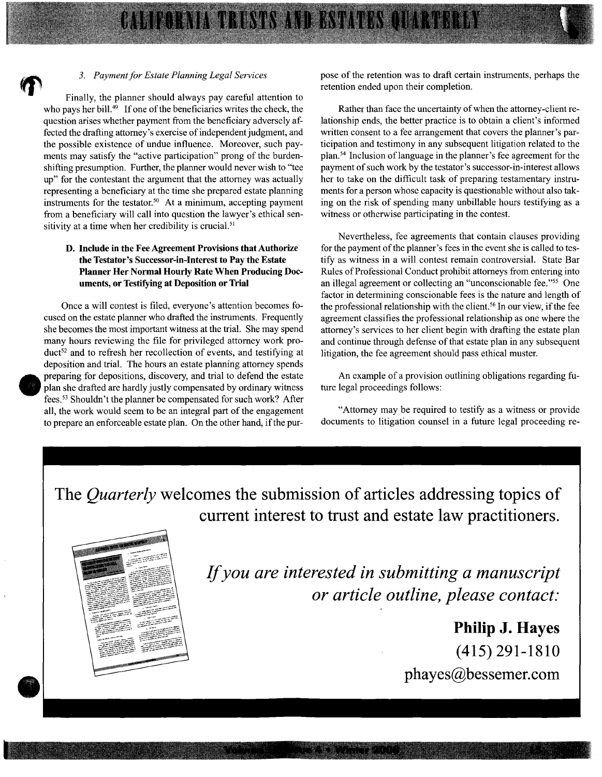#### 3. *Payment for Estate Planning Legal Services*

Finally, the planner should always pay careful attention to who pays her bill.<sup>49</sup> If one of the beneficiaries writes the check, the question arises whether payment from the beneficiary adversely affected the drafting attorney's exercise of independent judgment, and the possible existence of undue influence. Moreover, such payments may satisfy the "active participation" prong of the burdenshifting presumption. Further, the planner would never wish to "tee up" for the contestant the argument that the attorney was actually representing a beneficiary at the time she prepared estate planning instruments for the testator.<sup>50</sup> At a minimum, accepting payment from a beneficiary will call into question the lawyer's ethical sensitivity at a time when her credibility is crucial. $51$ 

#### D. Include in the Fee Agreement Provisions that Authorize the Testator's Successor-in-Interest to Pay the Estate Planner Her Normal Hourly Rate When Producing Documents, or Testifying at Deposition or Trial

Once a will contest is filed, everyone's attention becomes focused on the estate planner who drafted the instruments. Frequently she becomes the most important witness at the trial. She may spend many hours reviewing the file for privileged attorney work product<sup>52</sup> and to refresh her recollection of events, and testifying at deposition and trial. The hours an estate planning attorney spends preparing for depositions, discovery, and trial to defend the estate plan she drafted are hardly justly compensated by ordinary witness fees. 53 Shouldn't the planner be compensated for such work? After all, the work would seem to be an integral part of the engagement to prepare an enforceable estate plan. On the other hand, if the purpose of the retention was to draft certain instruments, perhaps the retention ended upon their completion.

Rather than face the uncertainty of when the attorney-client relationship ends, the better practice is to obtain a client's informed written consent to a fee arrangement that covers the planner's participation and testimony in any subsequent litigation related to the plan.<sup>54</sup> Inclusion of language in the planner's fee agreement for the payment of such work by the testator's successor-in-interest allows her to take on the difficult task of preparing testamentary instruments for a person whose capacity is questionable without also taking on the risk of spending many unbillable hours testifying as a witness or otherwise participating in the contest.

Nevertheless, fee agreements that contain clauses providing for the payment of the planner's fees in the event she is called to testify as witness in a will contest remain controversial. State Bar Rules of Professional Conduct prohibit attorneys from entering into an illegal agreement or collecting an "unconscionable fee."55 One factor in determining conscionable fees is the nature and length of the professional relationship with the client. 56 In our view, if the fee agreement classifies the professional relationship as one where the attorney's services to her client begin with drafting the estate plan and continue through defense of that estate plan in any subsequent litigation, the fee agreement should pass ethical muster.

An example of a provision outlining obligations regarding future legal proceedings follows:

"Attorney may be required to testify as a witness or provide documents to litigation counsel in a future legal proceeding re-

The *Quarterly* welcomes the submission of articles addressing topics of current interest to trust and estate law practitioners.

**TATE NAVALE MALENE** 



•

**•** 

If *you are interested in submitting a manuscript or article outline, please contact:* 

> **Philip J. Hayes**  (415) 291-1810 phayes@bessemer.com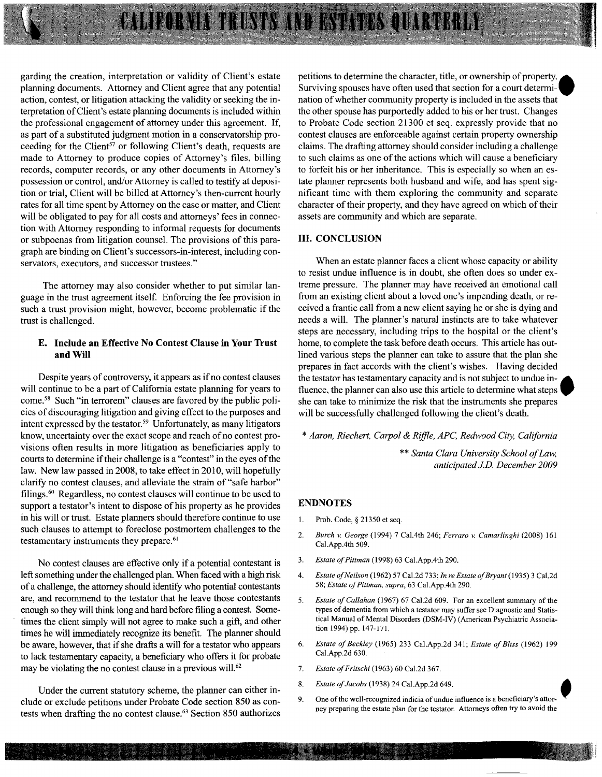# CALIFORNIA TRUSTS AND ESTATES QUARTERLY

garding the creation, interpretation or validity of Client's estate planning documents. Attorney and Client agree that any potential action, contest, or litigation attacking the validity or seeking the interpretation of Client's estate planning documents is included within the professional engagement of attorney under this agreement. If, as part of a substituted judgment motion in a conservatorship proceeding for the Client<sup>57</sup> or following Client's death, requests are made to Attorney to produce copies of Attorney's files, billing records, computer records, or any other documents in Attorney's possession or control, and/or Attorney is called to testify at deposition or trial, Client will be billed at Attorney's then-current hourly rates for all time spent by Attorney on the case or matter, and Client will be obligated to pay for all costs and attorneys' fees in connection with Attorney responding to informal requests for documents or subpoenas from litigation counsel. The provisions of this paragraph are binding on Client's successors-in-interest, including conservators, executors, and successor trustees."

The attorney may also consider whether to put similar language in the trust agreement itself. Enforcing the fee provision in such a trust provision might, however, become problematic if the trust is challenged.

#### **E. Include an Effective No Contest Clause in Your Trust and Will**

Despite years of controversy, it appears as if no contest clauses will continue to be a part of California estate planning for years to come.<sup>58</sup> Such "in terrorem" clauses are favored by the public policies of discouraging litigation and giving effect to the purposes and intent expressed by the testator. 59 Unfortunately, as many litigators know, uncertainty over the exact scope and reach of no contest provisions often results in more litigation as beneficiaries apply to courts to determine if their challenge is a "contest" in the eyes of the law. New law passed in 2008, to take effect in 2010, will hopefully clarify no contest clauses, and alleviate the strain of "safe harbor" filings.60 Regardless, no contest clauses will continue to be used to support a testator's intent to dispose of his property as he provides in his will or trust. Estate planners should therefore continue to use such clauses to attempt to foreclose postmortem challenges to the testamentary instruments they prepare.<sup>61</sup>

No contest clauses are effective only if a potential contestant is left something under the challenged plan. When faced with a high risk of a challenge, the attorney should identify who potential contestants are, and recommend to the testator that he leave those contestants enough so they will think long and hard before filing a contest. Sometimes the client simply will not agree to make such a gift, and other times he will immediately recognize its benefit. The planner should be aware, however, that if she drafts a will for a testator who appears to lack testamentary capacity, a beneficiary who offers it for probate may be violating the no contest clause in a previous will.<sup>62</sup>

Under the current statutory scheme, the planner can either include or exclude petitions under Probate Code section 850 as contests when drafting the no contest clause.63 Section 850 authorizes

petitions to determine the character, title, or ownership of property. Surviving spouses have often used that section for a court determination of whether community property is included in the assets that the other spouse has purportedly added to his or her trust. Changes to Probate Code section 21300 et seq. expressly provide that no contest clauses are enforceable against certain property ownership claims. The drafting attorney should consider including a challenge to such claims as one of the actions which will cause a beneficiary to forfeit his or her inheritance. This is especially so when an estate planner represents both husband and wife, and has spent significant time with them exploring the community and separate character of their property, and they have agreed on which of their assets are community and which are separate.

#### **III. CONCLUSION**

When an estate planner faces a client whose capacity or ability to resist undue influence is in doubt, she often does so under extreme pressure. The planner may have received an emotional call from an existing client about a loved one's impending death, or received a frantic call from a new client saying he or she is dying and needs a will. The planner's natural instincts are to take whatever steps are necessary, including trips to the hospital or the client's home, to complete the task before death occurs. This article has outlined various steps the planner can take to assure that the plan she prepares in fact accords with the client's wishes. Having decided the testator has testamentary capacity and is not subject to undue in- 6 fluence, the planner can also use this article to determine what steps she can take to minimize the risk that the instruments she prepares will be successfully challenged following the client's death.

\* *Aaron, Riechert, Carpal* & *Riffle, APC, Redwood City, California* 

\*\* *Santa Clara University School of Law, anticipated J.D. December 2009* 

#### **ENDNOTES**

- 1. Prob. Code, § 21350 et seq.
- *2. Burch* v. *George* (1994) 7 Cal.4th 246; *Ferraro* v. *Camarlinghi* (2008) 161 Cal.App.4th 509.
- 3. *Estate of Pittman* (1998) 63 Cal.App.4th 290.
- 4. *Estate of Neilson* (1962) 57 Cal.2d 733; *In re Estate of Bryant* (1935) 3 Cal.2d *58; Estate of Pittman, supra,* 63 Cal.App.4th 290.
- 5. *Estate of Callahan* (1967) 67 Cal.2d 609. For an excellent summary of the types of dementia from which a testator may suffer see Diagnostic and Statistical Manual of Mental Disorders (DSM-IV) (American Psychiatric Association 1994) pp. 147-171.
- 6. *Estate of Beckley* (1965) 233 Cal.App.2d 341; *Estate of Bliss* (1962) 199 Cal.App.2d 630.
- 7. *Estate afFritschi* (1963) 60 Cal.2d 367.
- 8. *Estate of Jacobs* (1938) 24 Cal.App.2d 649.
- 9. One of the well-recognized indicia of undue influence is a beneficiary's attorney preparing the estate plan for the testator. Attorneys often try to avoid the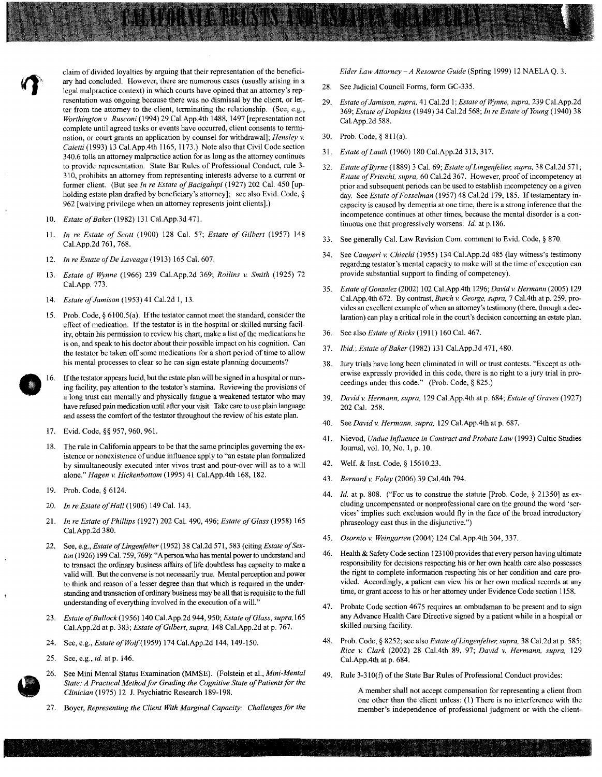claim of divided loyalties by arguing that their representation of the beneficiary had concluded. However, there are numerous cases (usually arising in a legal malpractice context) in which courts have opined that an attorney's representation was ongoing because there was no dismissal by the client, or letter from the attorney to the client, terminating the relationship. (See, e.g., *Worthington v. Rusconi* (1994) 29 Cal. App. 4th 1488, 1497 [representation not complete until agreed tasks or events have occurred, client consents to termination, or court grants an application by counsel for withdrawal]; *Hensley v. Caietti* (1993) 13 Cal.App.4th 1165, 1173.) Note also that Civil Code section 340.6 tolls an attorney malpractice action for as long as the attorney continues to provide representation. State Bar Rules of Professional Conduct, rule 3- 310, prohibits an attorney from representing interests adverse to a current or former client. (But see *In re Estate of Bacigalupi* (1927) 202 Cal. 450 [upholding estate plan drafted by beneficiary's attorney]; see also Evid. Code, § 962 [waiving privilege when an attorney represents joint clients].)

- *10. Estate of Baker* (1982) 131 Cal.App.3d 471.
- 11. *In re Estate of Scott* (1900) 128 Cal. 57; *Estate of Gilbert* (1957) 148 Cal.App.2d 761, 768.
- *12. In re Estate of De Laveaga* (1913) 165 Cal. 607.
- *13. Estate of Wynne* (1966) 239 Cal.App.2d 369; *Rollins v. Smith* (1925) 72 Cal.App. 773.
- *14. Estate of Jamison* (1953) 41 Cal.2d 1, 13.
- 15. Prob. Code,  $\S 6100.5(a)$ . If the testator cannot meet the standard, consider the effect of medication. If the testator is in the hospital or skilled nursing facility, obtain his permission to review his chart, make a list of the medications he is on, and speak to his doctor about their possible impact on his cognition. Can the testator be taken off some medications for a short period of time to allow his mental processes to clear so he can sign estate planning documents? **.16.** If the testator appears lucid, but the estate plan will be signed in a hospital or nurs-
- ing facility, pay attention to the testator's stamina. Reviewing the provisions of a long trust can mentally and physically fatigue a weakened testator who may have refused pain medication until after your visit. Take care to use plain language and assess the comfort of the testator throughout the review of his estate plan.
- 17. Evid. Code, §§ 957, 960, 961.
- 18. The rule in California appears to be that the same principles governing the existence or nonexistence of undue influence apply to "an estate plan formalized by simultaneously executed inter vivos trust and pour-over will as to a will alone." *Hagen v. Hickenbottom* (1995) 41 Cal.App.4th 168, 182.
- 19. Prob. Code, § 6124.
- *20. In re Estate of Hall* (1906) 149 Cal. 143.
- *21. In re Estate of Phillips* (1927) 202 Cal. 490, 496; *Estate of Glass* (1958) 165 Cal.App.2d 380.
- 22. See, e.g., *Estate of Lingenfelter* (1952) 38 Cal.2d 571, 583 (citing *Estate of Sexton* (1926) 199 Cal. 759, 769): "A person who has mental power to understand and to transact the ordinary business affairs of life doubtless has capacity to make a valid will. But the converse is not necessarily true. Mental perception and power to think and reason of a lesser degree than that which is required in the understanding and transaction of ordinary business may be all that is requisite to the full understanding of everything involved in the execution of a will."
- *23. Estate of Bullock* (1956) 140 Cal.App.2d 944, 950; *Estate of Glass, supra, 165*  Cal.App.2d at p. 383; *Estate of Gilbert, supra,* 148 Cal.App.2d at p. 767.
- 24. See, e.g., *Estate ofWoif(1959)* 174 Cal.App.2d 144, 149-150.
- 25. See, e.g., *id.* at p. 146.
- 26. See Mini Mental Status Examination (MMSE). (Folstein et aI., *Mini-Mental State: A Practical Method for Grading the Cognitive State of Patients for the Clinician* (1975) 12 J. Psychiatric Research 189-198.
- 27. Boyer, *Representing the Client With Marginal Capacity: Challenges for the*

*Elder Law Attorney -A Resource Guide* (Spring 1999) 12 NAELA Q. 3.

- 28. See Judicial Council Forms, form GC-335.
- *29. Estate of Jamison, supra,* 41 Cal.2d I; *Estate offfjmne, supra.* 239 Cal.App.2d *369; Estate of Dopkins* (1949) 34 Cal.2d 568; *In re Estate of Young* (1940) 38 Cal.App.2d 588.
- 30. Prob. Code, § 811(a).
- *31. Estate of Lauth* (1960) 180 Cal.App.2d 313, 317.
- *32. Estate of Byrne* (1889) 3 Cal. 69; *Estate of Lingenfelter, supra,* 38 Cal.2d 571; *Estate of Fritschi, supra.* 60 Cal.2d 367. However, proof of incompetency at prior and subsequent periods can be used to establish incompetency on a given day. See *Estate of Fosselman* (1957) 48 Cal.2d 179, 185. If testamentary incapacity is caused by dementia at one time, there is a strong inference that the incompetence continues at other times, because the mental disorder is a continuous one that progressively worsens. *Id.* at p.186.
- 33. See generally Cal. Law Revision Com. comment to Evid. Code, § 870.
- 34. See *Camperi v. Chiechi* (1955) 134 Cal.App.2d 485 (lay witness's testimony regarding testator's mental capacity to make will at the time of execution can provide substantial support to finding of competency).
- *35. Estate of Gonzalez* (2002) 102 Cal.AppAth 1296; *David* v. *Hermann* (2005) 129 Cal.AppAth 672. By contrast, *Burch* v. *George, supra,* 7 Cal.4th at p. 259, provides an excellent example of when an attorney's testimony (there, through a declaration) can playa critical role in the court's decision concerning an estate plan.
- 36. See also *Estate of Ricks* (1911) 160 Cal. 467.
- 37. *Ibid.; Estate of Baker* (1982) 131 Cal.App.3d 471,480.
- 38. Jury trials have long been eliminated in will or trust contests. "Except as otherwise expressly provided in this code, there is no right to a jury trial in proceedings under this code." (Prob. Code, § 825.)
- *39. David* v. *Hermann, supra.* 129 Cal.AppAth at p. 684; *Estate of Graves* (1927) 202 Cal. 258.
- 40. See *David v. Hermann, supra,* 129 Cal. App. 4th at p. 687.
- 41. Nievod, *Undue Influence in Contract and Probate Law* (1993) Cultic Studies Journal, vol. 10, No.1, p. 10.
- 42. Welf. & Inst. Code, § 15610.23.
- *43. Bernard v. Foley* (2006) 39 Cal.4th 794.
- *44. Id.* at p. 808. ("For us to construe the statute [Prob. Code, § 21350] as excluding uncompensated or nonprofessional care on the ground the word 'services' implies such exclusion would fly in the face of the broad introductory phraseology cast thus in the disjunctive.")
- 45. Osornio v. Weingarten (2004) 124 Cal. App. 4th 304, 337.
- 46. Health & Safety Code section 123100 provides that every person having ultimate responsibility for decisions respecting his or her own health care also possesses the right to complete information respecting his or her condition and care provided. Accordingly, a patient can view his or her own medical records at any time, or grant access to his or her attorney under Evidence Code section 1158.
- 47. Probate Code section 4675 requires an ombudsman to be present and to sign any Advance Health Care Directive signed by a patient while in a hospital or skilled nursing facility.
- 48. Prob. Code, § 8252; see also *Estate of Lingenfelter, supra,* 38 Cal.2d at p. 585; *Rice v. Clark* (2002) 28 Cal.4th 89, 97; *David v. Hermann, supra, 129*  Cal.App.4th at p. 684.
- 49. Rule 3-310(f) of the State Bar Rules of Professional Conduct provides:

A member shall not accept compensation for representing a client from one other than the client unless: (I) There is no interference with the member's independence of professional judgment or with the client-